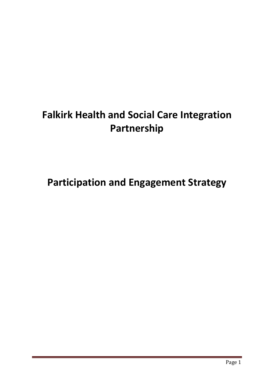# **Falkirk Health and Social Care Integration Partnership**

**Participation and Engagement Strategy**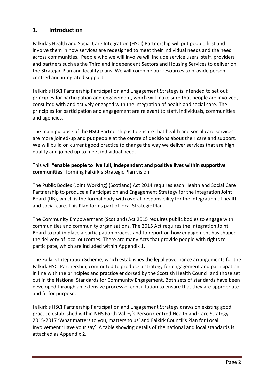# **1. Introduction**

Falkirk's Health and Social Care Integration (HSCI) Partnership will put people first and involve them in how services are redesigned to meet their individual needs and the need across communities. People who we will involve will include service users, staff, providers and partners such as the Third and Independent Sectors and Housing Services to deliver on the Strategic Plan and locality plans. We will combine our resources to provide personcentred and integrated support.

Falkirk's HSCI Partnership Participation and Engagement Strategy is intended to set out principles for participation and engagement, which will make sure that people are involved, consulted with and actively engaged with the integration of health and social care. The principles for participation and engagement are relevant to staff, individuals, communities and agencies.

The main purpose of the HSCI Partnership is to ensure that health and social care services are more joined-up and put people at the centre of decisions about their care and support. We will build on current good practice to change the way we deliver services that are high quality and joined up to meet individual need.

This will **"enable people to live full, independent and positive lives within supportive communities**" forming Falkirk's Strategic Plan vision.

The Public Bodies (Joint Working) (Scotland) Act 2014 requires each Health and Social Care Partnership to produce a Participation and Engagement Strategy for the Integration Joint Board (IJB), which is the formal body with overall responsibility for the integration of health and social care. This Plan forms part of local Strategic Plan.

The Community Empowerment (Scotland) Act 2015 requires public bodies to engage with communities and community organisations. The 2015 Act requires the Integration Joint Board to put in place a participation process and to report on how engagement has shaped the delivery of local outcomes. There are many Acts that provide people with rights to participate, which are included within Appendix 1.

The Falkirk Integration Scheme, which establishes the legal governance arrangements for the Falkirk HSCI Partnership, committed to produce a strategy for engagement and participation in line with the principles and practice endorsed by the Scottish Health Council and those set out in the National Standards for Community Engagement. Both sets of standards have been developed through an extensive process of consultation to ensure that they are appropriate and fit for purpose.

Falkirk's HSCI Partnership Participation and Engagement Strategy draws on existing good practice established within NHS Forth Valley's Person Centred Health and Care Strategy 2015-2017 'What matters to you, matters to us' and Falkirk Council's Plan for Local Involvement 'Have your say'. A table showing details of the national and local standards is attached as Appendix 2.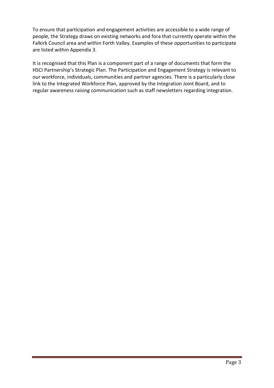To ensure that participation and engagement activities are accessible to a wide range of people, the Strategy draws on existing networks and fora that currently operate within the Falkirk Council area and within Forth Valley. Examples of these opportunities to participate are listed within Appendix 3.

It is recognised that this Plan is a component part of a range of documents that form the HSCI Partnership's Strategic Plan. The Participation and Engagement Strategy is relevant to our workforce, individuals, communities and partner agencies. There is a particularly close link to the Integrated Workforce Plan, approved by the Integration Joint Board, and to regular awareness raising communication such as staff newsletters regarding integration.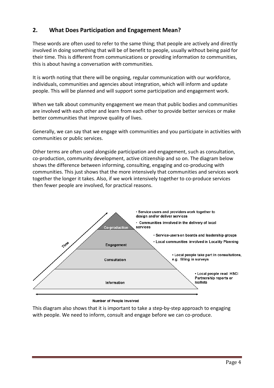# **2. What Does Participation and Engagement Mean?**

These words are often used to refer to the same thing; that people are actively and directly involved in doing something that will be of benefit to people, usually without being paid for their time. This is different from communications or providing information *to* communities, this is about having a conversation *with* communities.

It is worth noting that there will be ongoing, regular communication with our workforce, individuals, communities and agencies about integration, which will inform and update people. This will be planned and will support some participation and engagement work.

When we talk about community engagement we mean that public bodies and communities are involved with each other and learn from each other to provide better services or make better communities that improve quality of lives.

Generally, we can say that we engage with communities and you participate in activities with communities or public services.

Other terms are often used alongside participation and engagement, such as consultation, co-production, community development, active citizenship and so on. The diagram below shows the difference between informing, consulting, engaging and co-producing with communities. This just shows that the more intensively that communities and services work together the longer it takes. Also, if we work intensively together to co-produce services then fewer people are involved, for practical reasons.



#### Number of People Involved

This diagram also shows that it is important to take a step-by-step approach to engaging with people. We need to inform, consult and engage before we can co-produce.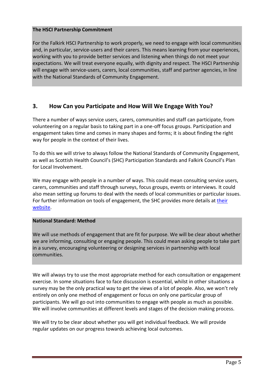## **The HSCI Partnership Commitment**

For the Falkirk HSCI Partnership to work properly, we need to engage with local communities and, in particular, service-users and their carers. This means learning from your experiences, working with you to provide better services and listening when things do not meet your expectations. We will treat everyone equally, with dignity and respect. The HSCI Partnership will engage with service-users, carers, local communities, staff and partner agencies, in line with the National Standards of Community Engagement.

## **3. How Can you Participate and How Will We Engage With You?**

There a number of ways service users, carers, communities and staff can participate, from volunteering on a regular basis to taking part in a one-off focus groups. Participation and engagement takes time and comes in many shapes and forms; it is about finding the right way for people in the context of their lives.

To do this we will strive to always follow the National Standards of Community Engagement, as well as Scottish Health Council's (SHC) Participation Standards and Falkirk Council's Plan for Local Involvement.

We may engage with people in a number of ways. This could mean consulting service users, carers, communities and staff through surveys, focus groups, events or interviews. It could also mean setting up forums to deal with the needs of local communities or particular issues. For further information on tools of engagement, the SHC provides more details at [their](http://shsc.nhs.uk/wp-content/uploads/2014/05/ParticipationToolkit.pdf)  [website.](http://shsc.nhs.uk/wp-content/uploads/2014/05/ParticipationToolkit.pdf)

### **National Standard: Method**

We will use methods of engagement that are fit for purpose. We will be clear about whether we are informing, consulting or engaging people. This could mean asking people to take part in a survey, encouraging volunteering or designing services in partnership with local communities.

We will always try to use the most appropriate method for each consultation or engagement exercise. In some situations face to face discussion is essential, whilst in other situations a survey may be the only practical way to get the views of a lot of people. Also, we won't rely entirely on only one method of engagement or focus on only one particular group of participants. We will go out into communities to engage with people as much as possible. We will involve communities at different levels and stages of the decision making process.

We will try to be clear about whether you will get individual feedback. We will provide regular updates on our progress towards achieving local outcomes.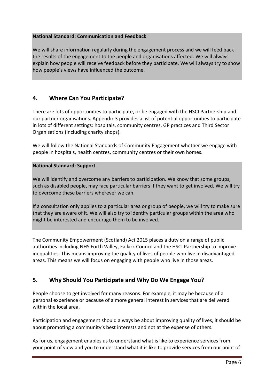#### **National Standard: Communication and Feedback**

We will share information regularly during the engagement process and we will feed back the results of the engagement to the people and organisations affected. We will always explain how people will receive feedback before they participate. We will always try to show how people's views have influenced the outcome.

## **4. Where Can You Participate?**

There are lots of opportunities to participate, or be engaged with the HSCI Partnership and our partner organisations. Appendix 3 provides a list of potential opportunities to participate in lots of different settings: hospitals, community centres, GP practices and Third Sector Organisations (including charity shops).

We will follow the National Standards of Community Engagement whether we engage with people in hospitals, health centres, community centres or their own homes.

#### **National Standard: Support**

We will identify and overcome any barriers to participation. We know that some groups, such as disabled people, may face particular barriers if they want to get involved. We will try to overcome these barriers wherever we can.

If a consultation only applies to a particular area or group of people, we will try to make sure that they are aware of it. We will also try to identify particular groups within the area who might be interested and encourage them to be involved.

The Community Empowerment (Scotland) Act 2015 places a duty on a range of public authorities including NHS Forth Valley, Falkirk Council and the HSCI Partnership to improve inequalities. This means improving the quality of lives of people who live in disadvantaged areas. This means we will focus on engaging with people who live in those areas.

# **5. Why Should You Participate and Why Do We Engage You?**

People choose to get involved for many reasons. For example, it may be because of a personal experience or because of a more general interest in services that are delivered within the local area.

Participation and engagement should always be about improving quality of lives, it should be about promoting a community's best interests and not at the expense of others.

As for us, engagement enables us to understand what is like to experience services from your point of view and you to understand what it is like to provide services from our point of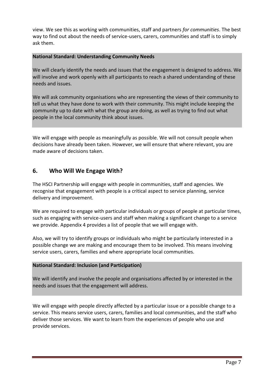view. We see this as working with communities, staff and partners *for communities*. The best way to find out about the needs of service-users, carers, communities and staff is to simply ask them.

#### **National Standard: Understanding Community Needs**

We will clearly identify the needs and issues that the engagement is designed to address. We will involve and work openly with all participants to reach a shared understanding of these needs and issues.

We will ask community organisations who are representing the views of their community to tell us what they have done to work with their community. This might include keeping the community up to date with what the group are doing, as well as trying to find out what people in the local community think about issues.

We will engage with people as meaningfully as possible. We will not consult people when decisions have already been taken. However, we will ensure that where relevant, you are made aware of decisions taken.

## **6. Who Will We Engage With?**

The HSCI Partnership will engage with people in communities, staff and agencies. We recognise that engagement with people is a critical aspect to service planning, service delivery and improvement.

We are required to engage with particular individuals or groups of people at particular times, such as engaging with service-users and staff when making a significant change to a service we provide. Appendix 4 provides a list of people that we will engage with.

Also, we will try to identify groups or individuals who might be particularly interested in a possible change we are making and encourage them to be involved. This means involving service users, carers, families and where appropriate local communities.

### **National Standard: Inclusion (and Participation)**

We will identify and involve the people and organisations affected by or interested in the needs and issues that the engagement will address.

We will engage with people directly affected by a particular issue or a possible change to a service. This means service users, carers, families and local communities, and the staff who deliver those services. We want to learn from the experiences of people who use and provide services.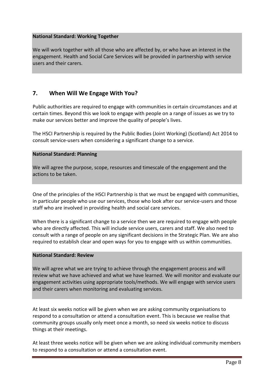#### **National Standard: Working Together**

We will work together with all those who are affected by, or who have an interest in the engagement. Health and Social Care Services will be provided in partnership with service users and their carers.

# **7. When Will We Engage With You?**

Public authorities are required to engage with communities in certain circumstances and at certain times. Beyond this we look to engage with people on a range of issues as we try to make our services better and improve the quality of people's lives.

The HSCI Partnership is required by the Public Bodies (Joint Working) (Scotland) Act 2014 to consult service-users when considering a significant change to a service.

#### **National Standard: Planning**

We will agree the purpose, scope, resources and timescale of the engagement and the actions to be taken.

One of the principles of the HSCI Partnership is that we must be engaged with communities, in particular people who use our services, those who look after our service-users and those staff who are involved in providing health and social care services.

When there is a significant change to a service then we are required to engage with people who are directly affected. This will include service users, carers and staff. We also need to consult with a range of people on any significant decisions in the Strategic Plan. We are also required to establish clear and open ways for you to engage with us within communities.

#### **National Standard: Review**

We will agree what we are trying to achieve through the engagement process and will review what we have achieved and what we have learned. We will monitor and evaluate our engagement activities using appropriate tools/methods. We will engage with service users and their carers when monitoring and evaluating services.

At least six weeks notice will be given when we are asking community organisations to respond to a consultation or attend a consultation event. This is because we realise that community groups usually only meet once a month, so need six weeks notice to discuss things at their meetings.

At least three weeks notice will be given when we are asking individual community members to respond to a consultation or attend a consultation event.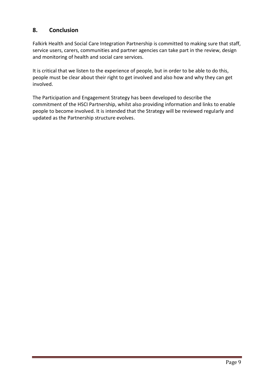# **8. Conclusion**

Falkirk Health and Social Care Integration Partnership is committed to making sure that staff, service users, carers, communities and partner agencies can take part in the review, design and monitoring of health and social care services.

It is critical that we listen to the experience of people, but in order to be able to do this, people must be clear about their right to get involved and also how and why they can get involved.

The Participation and Engagement Strategy has been developed to describe the commitment of the HSCI Partnership, whilst also providing information and links to enable people to become involved. It is intended that the Strategy will be reviewed regularly and updated as the Partnership structure evolves.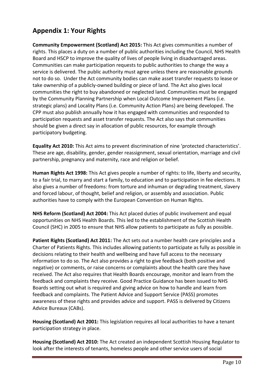# **Appendix 1: Your Rights**

**Community Empowerment (Scotland) Act 2015:** This Act gives communities a number of rights. This places a duty on a number of public authorities including the Council, NHS Health Board and HSCP to improve the quality of lives of people living in disadvantaged areas. Communities can make participation requests to public authorities to change the way a service is delivered. The public authority must agree unless there are reasonable grounds not to do so. Under the Act community bodies can make asset transfer requests to lease or take ownership of a publicly-owned building or piece of land. The Act also gives local communities the right to buy abandoned or neglected land. Communities must be engaged by the Community Planning Partnership when Local Outcome Improvement Plans (i.e. strategic plans) and Locality Plans (i.e. Community Action Plans) are being developed. The CPP must also publish annually how it has engaged with communities and responded to participation requests and asset transfer requests. The Act also says that communities should be given a direct say in allocation of public resources, for example through participatory budgeting.

**Equality Act 2010:** This Act aims to prevent discrimination of nine 'protected characteristics'. These are age, disability, gender, gender reassignment, sexual orientation, marriage and civil partnership, pregnancy and maternity, race and religion or belief.

**Human Rights Act 1998:** This Act gives people a number of rights: to life, liberty and security, to a fair trial, to marry and start a family, to education and to participation in fee elections. It also gives a number of freedoms: from torture and inhuman or degrading treatment, slavery and forced labour, of thought, belief and religion, or assembly and association. Public authorities have to comply with the European Convention on Human Rights.

**NHS Reform (Scotland) Act 2004:** This Act placed duties of public involvement and equal opportunities on NHS Health Boards. This led to the establishment of the Scottish Health Council (SHC) in 2005 to ensure that NHS allow patients to participate as fully as possible.

**Patient Rights (Scotland) Act 2011:** The Act sets out a number health care principles and a Charter of Patients Rights. This includes allowing patients to participate as fully as possible in decisions relating to their health and wellbeing and have full access to the necessary information to do so. The Act also provides a right to give feedback (both positive and negative) or comments, or raise concerns or complaints about the health care they have received. The Act also requires that Health Boards encourage, monitor and learn from the feedback and complaints they receive. Good Practice Guidance has been issued to NHS Boards setting out what is required and giving advice on how to handle and learn from feedback and complaints. The Patient Advice and Support Service (PASS) promotes awareness of these rights and provides advice and support. PASS is delivered by Citizens Advice Bureaux (CABs).

**Housing (Scotland) Act 2001:** This legislation requires all local authorities to have a tenant participation strategy in place.

**Housing (Scotland) Act 2010:** The Act created an independent Scottish Housing Regulator to look after the interests of tenants, homeless people and other service users of social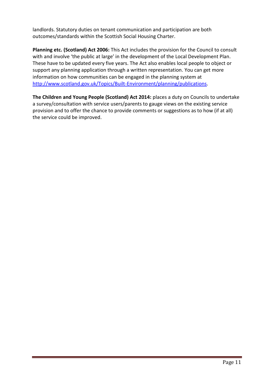landlords. Statutory duties on tenant communication and participation are both outcomes/standards within the Scottish Social Housing Charter.

**Planning etc. (Scotland) Act 2006:** This Act includes the provision for the Council to consult with and involve 'the public at large' in the development of the Local Development Plan. These have to be updated every five years. The Act also enables local people to object or support any planning application through a written representation. You can get more information on how communities can be engaged in the planning system at [http://www.scotland.gov.uk/Topics/Built-Environment/planning/publications.](http://www.scotland.gov.uk/Topics/Built-Environment/planning/publications)

**The Children and Young People (Scotland) Act 2014:** places a duty on Councils to undertake a survey/consultation with service users/parents to gauge views on the existing service provision and to offer the chance to provide comments or suggestions as to how (if at all) the service could be improved.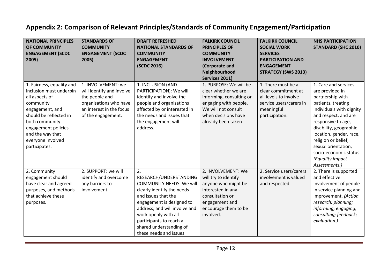# **Appendix 2: Comparison of Relevant Principles/Standards of Community Engagement/Participation**

| <b>NATIONAL PRINCIPLES</b><br>OF COMMUNITY<br><b>ENGAGEMENT (SCDC</b><br>2005)                                                                                                                                                      | <b>STANDARDS OF</b><br><b>COMMUNITY</b><br><b>ENGAGEMENT (SCDC</b><br>2005)                                                                   | <b>DRAFT REFRESHED</b><br><b>NATIONAL STANDARDS OF</b><br><b>COMMUNITY</b><br><b>ENGAGEMENT</b><br>(SCDC 2016)                                                                                                                                                                              | <b>FALKIRK COUNCIL</b><br><b>PRINCIPLES OF</b><br><b>COMMUNITY</b><br><b>INVOLVEMENT</b><br>(Corporate and<br>Neighbourhood<br>Services 2011)                           | <b>FALKIRK COUNCIL</b><br><b>SOCIAL WORK</b><br><b>SERVICES</b><br><b>PARTICIPATION AND</b><br><b>ENGAGEMENT</b><br><b>STRATEGY (SWS 2013)</b> | <b>NHS PARTICIPATION</b><br><b>STANDARD (SHC 2010)</b>                                                                                                                                                                                                                                                                        |
|-------------------------------------------------------------------------------------------------------------------------------------------------------------------------------------------------------------------------------------|-----------------------------------------------------------------------------------------------------------------------------------------------|---------------------------------------------------------------------------------------------------------------------------------------------------------------------------------------------------------------------------------------------------------------------------------------------|-------------------------------------------------------------------------------------------------------------------------------------------------------------------------|------------------------------------------------------------------------------------------------------------------------------------------------|-------------------------------------------------------------------------------------------------------------------------------------------------------------------------------------------------------------------------------------------------------------------------------------------------------------------------------|
| 1. Fairness, equality and<br>inclusion must underpin<br>all aspects of<br>community<br>engagement, and<br>should be reflected in<br>both community<br>engagement policies<br>and the way that<br>everyone involved<br>participates. | 1. INVOLVEMENT: we<br>will identify and involve<br>the people and<br>organisations who have<br>an interest in the focus<br>of the engagement. | 1. INCLUSION (AND<br>PARTICIPATION): We will<br>identify and involve the<br>people and organisations<br>affected by or interested in<br>the needs and issues that<br>the engagement will<br>address.                                                                                        | 1. PURPOSE: We will be<br>clear whether we are<br>informing, consulting or<br>engaging with people.<br>We will not consult<br>when decisions have<br>already been taken | 1. There must be a<br>clear commitment at<br>all levels to involve<br>service users/carers in<br>meaningful<br>participation.                  | 1. Care and services<br>are provided in<br>partnership with<br>patients, treating<br>individuals with dignity<br>and respect, and are<br>responsive to age,<br>disability, geographic<br>location, gender, race,<br>religion or belief,<br>sexual orientation,<br>socio-economic status.<br>(Equality Impact<br>Assessments.) |
| 2. Community<br>engagement should<br>have clear and agreed<br>purposes, and methods<br>that achieve these<br>purposes.                                                                                                              | 2. SUPPORT: we will<br>identify and overcome<br>any barriers to<br>involvement.                                                               | 2.<br>RESEARCH/UNDERSTANDING<br><b>COMMUNITY NEEDS: We will</b><br>clearly identify the needs<br>and issues that the<br>engagement is designed to<br>address, and will involve and<br>work openly with all<br>participants to reach a<br>shared understanding of<br>these needs and issues. | 2. INVOLVEMENT: We<br>will try to identify<br>anyone who might be<br>interested in any<br>consultation or<br>engagement and<br>encourage them to be<br>involved.        | 2. Service users/carers<br>involvement is valued<br>and respected.                                                                             | 2. There is supported<br>and effective<br>involvement of people<br>in service planning and<br>improvement. (Action<br>research: planning;<br>informing; engaging;<br>consulting; feedback;<br>evaluation.)                                                                                                                    |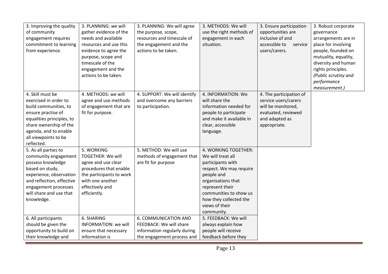| 3. Improving the quality<br>of community<br>engagement requires<br>commitment to learning<br>from experience.                                                                                                  | 3. PLANNING: we will<br>gather evidence of the<br>needs and available<br>resources and use this<br>evidence to agree the<br>purpose, scope and<br>timescale of the<br>engagement and the<br>actions to be taken. | 3. PLANNING: We will agree<br>the purpose, scope,<br>resources and timescale of<br>the engagement and the<br>actions to be taken. | 3. METHODS: We will<br>use the right methods of<br>engagement in each<br>situation.                                                                                                                                                  | 3. Ensure participation<br>opportunities are<br>inclusive of and<br>accessible to<br>service<br>users/carers.                  | 3. Robust corporate<br>governance<br>arrangements are in<br>place for involving<br>people, founded on<br>mutuality, equality,<br>diversity and human<br>rights principles.<br>(Public scrutiny and<br>performance<br>measurement.) |
|----------------------------------------------------------------------------------------------------------------------------------------------------------------------------------------------------------------|------------------------------------------------------------------------------------------------------------------------------------------------------------------------------------------------------------------|-----------------------------------------------------------------------------------------------------------------------------------|--------------------------------------------------------------------------------------------------------------------------------------------------------------------------------------------------------------------------------------|--------------------------------------------------------------------------------------------------------------------------------|------------------------------------------------------------------------------------------------------------------------------------------------------------------------------------------------------------------------------------|
| 4. Skill must be<br>exercised in order to<br>build communities, to<br>ensure practise of<br>equalities principles, to<br>share ownership of the<br>agenda, and to enable<br>all viewpoints to be<br>reflected. | 4. METHODS: we will<br>agree and use methods<br>of engagement that are<br>fit for purpose.                                                                                                                       | 4. SUPPORT: We will identify<br>and overcome any barriers<br>to participation.                                                    | 4. INFORMATION: We<br>will share the<br>information needed for<br>people to participate<br>and make it available in<br>clear, accessible<br>language.                                                                                | 4. The participation of<br>service users/carers<br>will be monitored,<br>evaluated, reviewed<br>and adapted as<br>appropriate. |                                                                                                                                                                                                                                    |
| 5. As all parties to<br>community engagement<br>possess knowledge<br>based on study,<br>experience, observation<br>and reflection, effective<br>engagement processes<br>will share and use that<br>knowledge.  | 5. WORKING<br><b>TOGETHER: We will</b><br>agree and use clear<br>procedures that enable<br>the participants to work<br>with one another<br>effectively and<br>efficiently.                                       | 5. METHOD: We will use<br>methods of engagement that<br>are fit for purpose                                                       | 4. WORKING TOGETHER:<br>We will treat all<br>participants with<br>respect. We may require<br>people and<br>organisations that<br>represent their<br>communities to show us<br>how they collected the<br>views of their<br>community. |                                                                                                                                |                                                                                                                                                                                                                                    |
| 6. All participants<br>should be given the<br>opportunity to build on<br>their knowledge and                                                                                                                   | 6. SHARING<br><b>INFORMATION: we will</b><br>ensure that necessary<br>information is                                                                                                                             | <b>6. COMMUNICATION AND</b><br>FEEDBACK: We will share<br>information regularly during<br>the engagement process and              | 5. FEEDBACK: We will<br>always explain how<br>people will receive<br>feedback before they                                                                                                                                            |                                                                                                                                |                                                                                                                                                                                                                                    |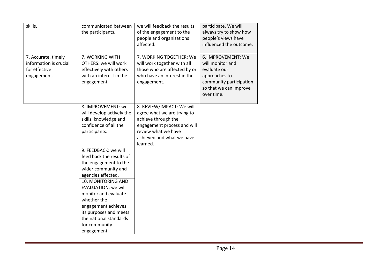| skills.                                                                       | communicated between<br>the participants.                                                                                                                                                                                                                                                                                    | we will feedback the results<br>of the engagement to the<br>people and organisations<br>affected.                                                                              | participate. We will<br>always try to show how<br>people's views have<br>influenced the outcome.                                           |
|-------------------------------------------------------------------------------|------------------------------------------------------------------------------------------------------------------------------------------------------------------------------------------------------------------------------------------------------------------------------------------------------------------------------|--------------------------------------------------------------------------------------------------------------------------------------------------------------------------------|--------------------------------------------------------------------------------------------------------------------------------------------|
| 7. Accurate, timely<br>information is crucial<br>for effective<br>engagement. | 7. WORKING WITH<br>OTHERS: we will work<br>effectively with others<br>with an interest in the<br>engagement.                                                                                                                                                                                                                 | 7. WORKING TOGETHER: We<br>will work together with all<br>those who are affected by or<br>who have an interest in the<br>engagement.                                           | 6. IMPROVEMENT: We<br>will monitor and<br>evaluate our<br>approaches to<br>community participation<br>so that we can improve<br>over time. |
|                                                                               | 8. IMPROVEMENT: we<br>will develop actively the<br>skills, knowledge and<br>confidence of all the<br>participants.                                                                                                                                                                                                           | 8. REVIEW/IMPACT: We will<br>agree what we are trying to<br>achieve through the<br>engagement process and will<br>review what we have<br>achieved and what we have<br>learned. |                                                                                                                                            |
|                                                                               | 9. FEEDBACK: we will<br>feed back the results of<br>the engagement to the<br>wider community and<br>agencies affected.<br>10. MONITORING AND<br><b>EVALUATION: we will</b><br>monitor and evaluate<br>whether the<br>engagement achieves<br>its purposes and meets<br>the national standards<br>for community<br>engagement. |                                                                                                                                                                                |                                                                                                                                            |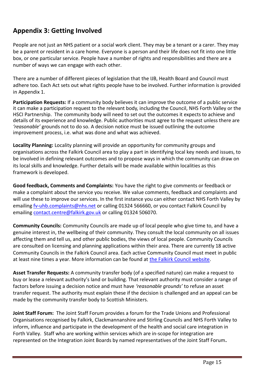# **Appendix 3: Getting Involved**

People are not just an NHS patient or a social work client. They may be a tenant or a carer. They may be a parent or resident in a care home. Everyone is a person and their life does not fit into one little box, or one particular service. People have a number of rights and responsibilities and there are a number of ways we can engage with each other.

There are a number of different pieces of legislation that the IJB, Health Board and Council must adhere too. Each Act sets out what rights people have to be involved. Further information is provided in Appendix 1.

**Participation Requests:** If a community body believes it can improve the outcome of a public service it can make a participation request to the relevant body, including the Council, NHS Forth Valley or the HSCI Partnership. The community body will need to set out the outcomes it expects to achieve and details of its experience and knowledge. Public authorities must agree to the request unless there are *'reasonable'* grounds not to do so. A decision notice must be issued outlining the outcome improvement process, i.e. what was done and what was achieved.

**Locality Planning:** Locality planning will provide an opportunity for community groups and organisations across the Falkirk Council area to play a part in identifying local key needs and issues, to be involved in defining relevant outcomes and to propose ways in which the community can draw on its local skills and knowledge. Further details will be made available within localities as this framework is developed.

**Good feedback, Comments and Complaints:** You have the right to give comments or feedback or make a complaint about the service you receive. We value comments, feedback and complaints and will use these to improve our services. In the first instance you can either contact NHS Forth Valley by emailing [fv-uhb.complaints@nhs.net](mailto:fv-uhb.complaints@nhs.net) or calling 01324 566660, or you contact Falkirk Council by emailing [contact.centre@falkirk.gov.uk](mailto:contact.centre@falkirk.gov.uk) or calling 01324 506070.

**Community Councils:** Community Councils are made up of local people who give time to, and have a genuine interest in, the wellbeing of their community. They consult the local community on all issues affecting them and tell us, and other public bodies, the views of local people. Community Councils are consulted on licensing and planning applications within their area. There are currently 18 active Community Councils in the Falkirk Council area. Each active Community Council must meet in public at least nine times a year. More information can be found at [the Falkirk Council website.](http://www.falkirk.gov.uk/services/people-communities/community-councils/)

**Asset Transfer Requests:** A community transfer body (of a specified nature) can make a request to buy or lease a relevant authority's land or building. That relevant authority must consider a range of factors before issuing a decision notice and must have *'reasonable grounds'* to refuse an asset transfer request. The authority must explain these if the decision is challenged and an appeal can be made by the community transfer body to Scottish Ministers.

**Joint Staff Forum:** The Joint Staff Forum provides a forum for the Trade Unions and Professional Organisations recognised by Falkirk, Clackmannanshire and Stirling Councils and NHS Forth Valley to inform, influence and participate in the development of the health and social care integration in Forth Valley.Staff who are working within services which are in-scope for integration are represented on the Integration Joint Boards by named representatives of the Joint Staff Forum**.**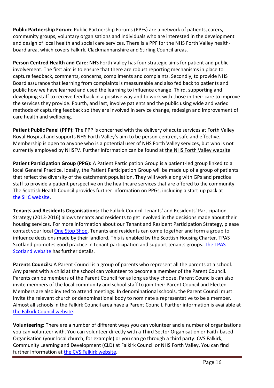**Public Partnership Forum**: Public Partnership Forums (PPFs) are a network of patients, carers, community groups, voluntary organisations and individuals who are interested in the development and design of local health and social care services. There is a PPF for the NHS Forth Valley healthboard area, which covers Falkirk, Clackmannanshire and Stirling Council areas.

**Person Centred Health and Care:** NHS Forth Valley has four strategic aims for patient and public involvement. The first aim is to ensure that there are robust reporting mechanisms in place to capture feedback, comments, concerns, compliments and complaints. Secondly, to provide NHS Board assurance that learning from complaints is measureable and also fed back to patients and public how we have learned and used the learning to influence change. Third, supporting and developing staff to receive feedback in a positive way and to work with those in their care to improve the services they provide. Fourth, and last, involve patients and the public using wide and varied methods of capturing feedback so they are involved in service change, redesign and improvement of care health and wellbeing.

**Patient Public Panel (PPP):** The PPP is concerned with the delivery of acute services at Forth Valley Royal Hospital and supports NHS Forth Valley's aim to be person-centred, safe and effective. Membership is open to anyone who is a potential user of NHS Forth Valley services, but who is not currently employed by NHSFV. Further information can be found at [the NHS Forth Valley website](http://nhsforthvalley.com/get-involved/public-involvement-groups/patient-public-panel/)

**Patient Participation Group (PPG):** A Patient Participation Group is a patient-led group linked to a local General Practice. Ideally, the Patient Participation Group will be made up of a group of patients that reflect the diversity of the catchment population. They will work along with GPs and practice staff to provide a patient perspective on the healthcare services that are offered to the community. The Scottish Health Council provides further information on PPGs, including a start-up pack at [the SHC website.](http://www.scottishhealthcouncil.org/patient__public_participation/patient_participation_groups/patient_participation_groups.aspx#.VtQCorfhCM8)

**Tenants and Residents Organisations:** The Falkirk Council Tenants' and Residents' Participation Strategy (2013-2016) allows tenants and residents to get involved in the decisions made about their housing services. For more information about our Tenant and Resident Participation Strategy, please contact your local [One Stop Shop.](http://www.falkirk.gov.uk/places/one-stop-shops/) Tenants and residents can come together and form a group to influence decisions made by their landlord. This is enabled by the Scottish Housing Charter. TPAS Scotland promotes good practice in tenant participation and support tenants groups. [The TPAS](http://www.tpasscotland.org.uk/services/)  [Scotland website](http://www.tpasscotland.org.uk/services/) has further details.

**Parents Councils:** A Parent Council is a group of parents who represent all the parents at a school. Any parent with a child at the school can volunteer to become a member of the Parent Council. Parents can be members of the Parent Council for as long as they choose. Parent Councils can also invite members of the local community and school staff to join their Parent Council and Elected Members are also invited to attend meetings. In denominational schools, the Parent Council must invite the relevant church or denominational body to nominate a representative to be a member. Almost all schools in the Falkirk Council area have a Parent Council. Further information is available at [the Falkirk Council website.](https://www.falkirk.gov.uk/services/schools-education/school-life/parent-councils/)

**Volunteering:** There are a number of different ways you can volunteer and a number of organisations you can volunteer with. You can volunteer directly with a Third Sector Organisation or Faith-based Organisation (your local church, for example) or you can go through a third party: CVS Falkirk, Community Learning and Development (CLD) at Falkirk Council or NHS Forth Valley. You can find further information at [the CVS Falkirk website.](http://www.cvsfalkirk.org.uk/volunteering/)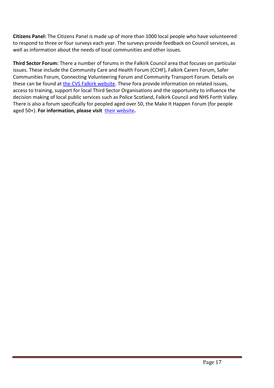**Citizens Panel:** The Citizens Panel is made up of more than 1000 local people who have volunteered to respond to three or four surveys each year. The surveys provide feedback on Council services, as well as information about the needs of local communities and other issues.

**Third Sector Forum:** There a number of forums in the Falkirk Council area that focuses on particular issues. These include the Community Care and Health Forum (CCHF), Falkirk Carers Forum, Safer Communities Forum, Connecting Volunteering Forum and Community Transport Forum. Details on these can be found at [the CVS Falkirk website.](http://www.cvsfalkirk.org.uk/voice-of-the-sector/) These fora provide information on related issues, access to training, support for local Third Sector Organisations and the opportunity to influence the decision making of local public services such as Police Scotland, Falkirk Council and NHS Forth Valley. There is also a forum specifically for peopled aged over 50, the Make It Happen Forum (for people aged 50+). **For information, please visit** [their website](http://www.makeithappenforum.org.uk/)**.**